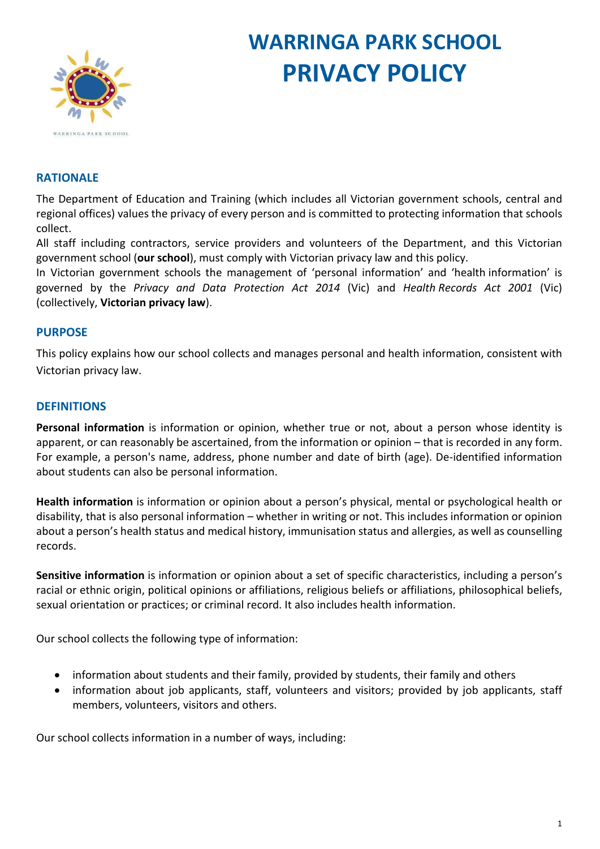

# **WARRINGA PARK SCHOOL PRIVACY POLICY**

# **RATIONALE**

The Department of Education and Training (which includes all Victorian government schools, central and regional offices) values the privacy of every person and is committed to protecting information that schools collect.

All staff including contractors, service providers and volunteers of the Department, and this Victorian government school (**our school**), must comply with Victorian privacy law and this policy.

In Victorian government schools the management of 'personal information' and 'health information' is governed by the *Privacy and Data Protection Act 2014* (Vic) and *Health Records Act 2001* (Vic) (collectively, **Victorian privacy law**).

# **PURPOSE**

This policy explains how our school collects and manages personal and health information, consistent with Victorian privacy law.

# **DEFINITIONS**

**Personal information** is information or opinion, whether true or not, about a person whose identity is apparent, or can reasonably be ascertained, from the information or opinion – that is recorded in any form. For example, a person's name, address, phone number and date of birth (age). De-identified information about students can also be personal information.

**Health information** is information or opinion about a person's physical, mental or psychological health or disability, that is also personal information – whether in writing or not. This includes information or opinion about a person's health status and medical history, immunisation status and allergies, as well as counselling records.

**Sensitive information** is information or opinion about a set of specific characteristics, including a person's racial or ethnic origin, political opinions or affiliations, religious beliefs or affiliations, philosophical beliefs, sexual orientation or practices; or criminal record. It also includes health information.

Our school collects the following type of information:

- information about students and their family, provided by students, their family and others
- information about job applicants, staff, volunteers and visitors; provided by job applicants, staff members, volunteers, visitors and others.

Our school collects information in a number of ways, including: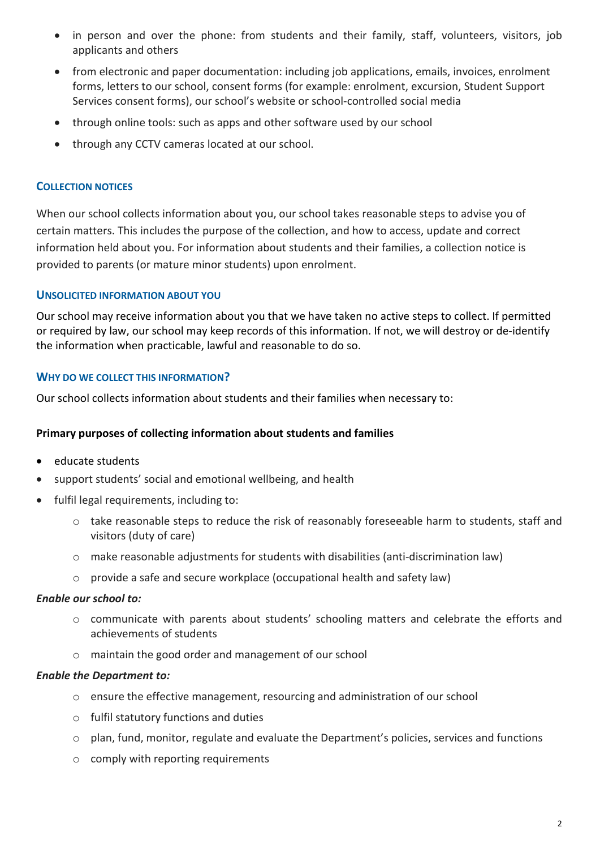- in person and over the phone: from students and their family, staff, volunteers, visitors, job applicants and others
- from electronic and paper documentation: including job applications, emails, invoices, enrolment forms, letters to our school, consent forms (for example: enrolment, excursion, Student Support Services consent forms), our school's website or school-controlled social media
- through online tools: such as apps and other software used by our school
- through any CCTV cameras located at our school.

### **COLLECTION NOTICES**

When our school collects information about you, our school takes reasonable steps to advise you of certain matters. This includes the purpose of the collection, and how to access, update and correct information held about you. For information about students and their families, a collection notice is provided to parents (or mature minor students) upon enrolment.

#### **UNSOLICITED INFORMATION ABOUT YOU**

Our school may receive information about you that we have taken no active steps to collect. If permitted or required by law, our school may keep records of this information. If not, we will destroy or de-identify the information when practicable, lawful and reasonable to do so.

#### **WHY DO WE COLLECT THIS INFORMATION?**

Our school collects information about students and their families when necessary to:

#### **Primary purposes of collecting information about students and families**

- educate students
- support students' social and emotional wellbeing, and health
- fulfil legal requirements, including to:
	- o take reasonable steps to reduce the risk of reasonably foreseeable harm to students, staff and visitors (duty of care)
	- $\circ$  make reasonable adjustments for students with disabilities (anti-discrimination law)
	- $\circ$  provide a safe and secure workplace (occupational health and safety law)

#### *Enable our school to:*

- o communicate with parents about students' schooling matters and celebrate the efforts and achievements of students
- o maintain the good order and management of our school

#### *Enable the Department to:*

- o ensure the effective management, resourcing and administration of our school
- o fulfil statutory functions and duties
- $\circ$  plan, fund, monitor, regulate and evaluate the Department's policies, services and functions
- o comply with reporting requirements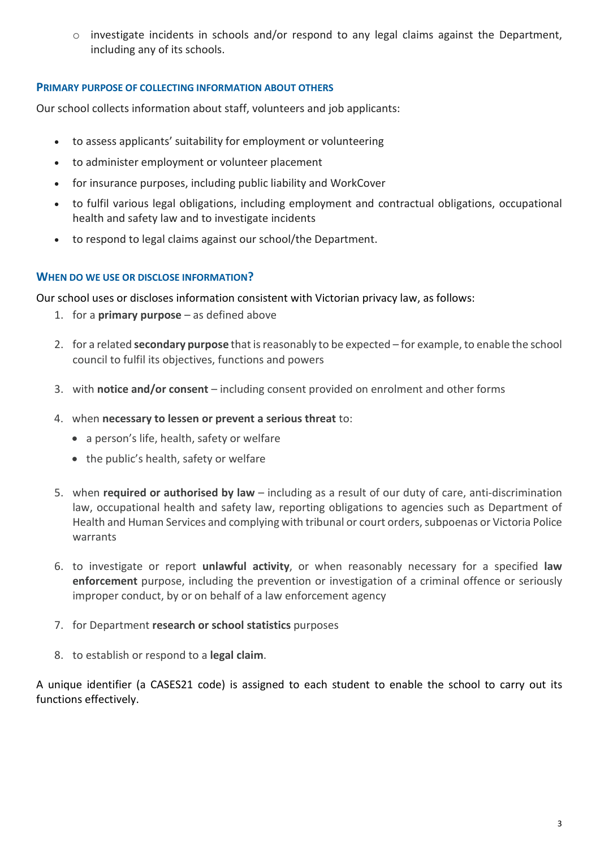$\circ$  investigate incidents in schools and/or respond to any legal claims against the Department, including any of its schools.

# **PRIMARY PURPOSE OF COLLECTING INFORMATION ABOUT OTHERS**

Our school collects information about staff, volunteers and job applicants:

- to assess applicants' suitability for employment or volunteering
- to administer employment or volunteer placement
- for insurance purposes, including public liability and WorkCover
- to fulfil various legal obligations, including employment and contractual obligations, occupational health and safety law and to investigate incidents
- to respond to legal claims against our school/the Department.

# **WHEN DO WE USE OR DISCLOSE INFORMATION?**

Our school uses or discloses information consistent with Victorian privacy law, as follows:

- 1. for a **primary purpose** as defined above
- 2. for a related **secondary purpose** that is reasonably to be expected for example, to enable the school council to fulfil its objectives, functions and powers
- 3. with **notice and/or consent** including consent provided on enrolment and other forms
- 4. when **necessary to lessen or prevent a serious threat** to:
	- a person's life, health, safety or welfare
	- the public's health, safety or welfare
- 5. when **required or authorised by law** including as a result of our duty of care, anti-discrimination law, occupational health and safety law, reporting obligations to agencies such as Department of Health and Human Services and complying with tribunal or court orders, subpoenas or Victoria Police warrants
- 6. to investigate or report **unlawful activity**, or when reasonably necessary for a specified **law enforcement** purpose, including the prevention or investigation of a criminal offence or seriously improper conduct, by or on behalf of a law enforcement agency
- 7. for Department **research or school statistics** purposes
- 8. to establish or respond to a **legal claim**.

A unique identifier (a CASES21 code) is assigned to each student to enable the school to carry out its functions effectively.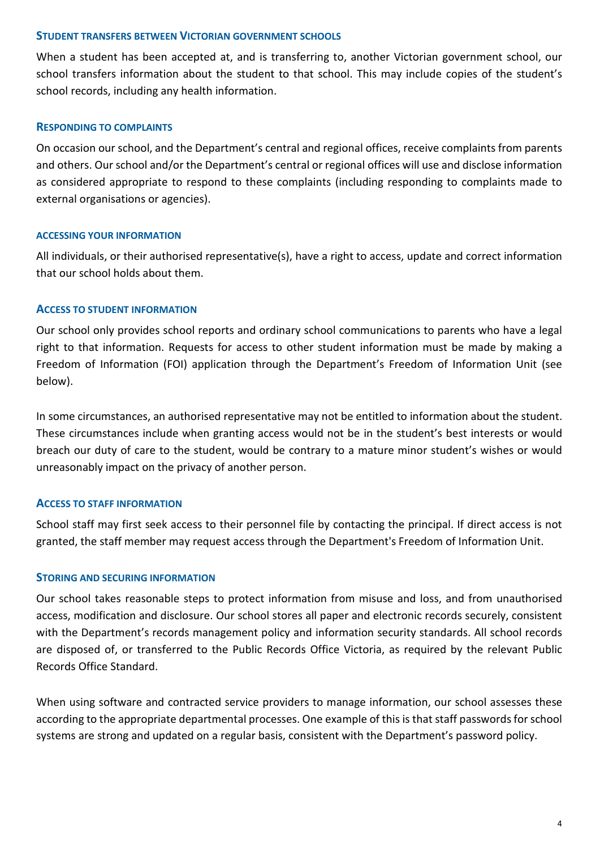#### **STUDENT TRANSFERS BETWEEN VICTORIAN GOVERNMENT SCHOOLS**

When a student has been accepted at, and is transferring to, another Victorian government school, our school transfers information about the student to that school. This may include copies of the student's school records, including any health information.

#### **RESPONDING TO COMPLAINTS**

On occasion our school, and the Department's central and regional offices, receive complaints from parents and others. Our school and/or the Department's central or regional offices will use and disclose information as considered appropriate to respond to these complaints (including responding to complaints made to external organisations or agencies).

#### **ACCESSING YOUR INFORMATION**

All individuals, or their authorised representative(s), have a right to access, update and correct information that our school holds about them.

# **ACCESS TO STUDENT INFORMATION**

Our school only provides school reports and ordinary school communications to parents who have a legal right to that information. Requests for access to other student information must be made by making a Freedom of Information (FOI) application through the Department's Freedom of Information Unit (see below).

In some circumstances, an authorised representative may not be entitled to information about the student. These circumstances include when granting access would not be in the student's best interests or would breach our duty of care to the student, would be contrary to a mature minor student's wishes or would unreasonably impact on the privacy of another person.

# **ACCESS TO STAFF INFORMATION**

School staff may first seek access to their personnel file by contacting the principal. If direct access is not granted, the staff member may request access through the Department's Freedom of Information Unit.

# **STORING AND SECURING INFORMATION**

Our school takes reasonable steps to protect information from misuse and loss, and from unauthorised access, modification and disclosure. Our school stores all paper and electronic records securely, consistent with the Department's records management policy and information security standards. All school records are disposed of, or transferred to the Public Records Office Victoria, as required by the relevant Public Records Office Standard.

When using software and contracted service providers to manage information, our school assesses these according to the appropriate departmental processes. One example of this is that staff passwords for school systems are strong and updated on a regular basis, consistent with the Department's password policy.